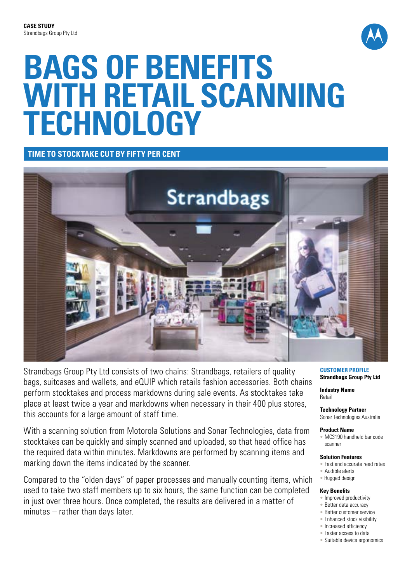

# **Bags of benefits with retail scanning technology**

**Time to stocktake cut by FIFTY per cent**



Strandbags Group Pty Ltd consists of two chains: Strandbags, retailers of quality bags, suitcases and wallets, and eQUIP which retails fashion accessories. Both chains perform stocktakes and process markdowns during sale events. As stocktakes take place at least twice a year and markdowns when necessary in their 400 plus stores, this accounts for a large amount of staff time.

With a scanning solution from Motorola Solutions and Sonar Technologies, data from stocktakes can be quickly and simply scanned and uploaded, so that head office has the required data within minutes. Markdowns are performed by scanning items and marking down the items indicated by the scanner.

Compared to the "olden days" of paper processes and manually counting items, which used to take two staff members up to six hours, the same function can be completed in just over three hours. Once completed, the results are delivered in a matter of minutes – rather than days later.

**Customer Profile Strandbags Group Pty Ltd**

**Industry Name** Retail

**Technology Partner** Sonar Technologies Australia

## **Product Name**

• MC3190 handheld bar code scanner

#### **Solution Features**

- Fast and accurate read rates
- Audible alerts • Rugged design

## **Key Benefits**

- Improved productivity
- Better data accuracy
- Better customer service
- Enhanced stock visibility • Increased efficiency
- Faster access to data
- 
- Suitable device ergonomics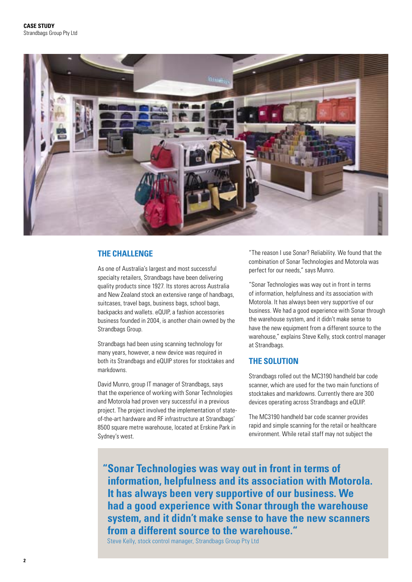

# **THE CHALLENGE**

As one of Australia's largest and most successful specialty retailers, Strandbags have been delivering quality products since 1927. Its stores across Australia and New Zealand stock an extensive range of handbags, suitcases, travel bags, business bags, school bags, backpacks and wallets. eQUIP, a fashion accessories business founded in 2004, is another chain owned by the Strandbags Group.

Strandbags had been using scanning technology for many years, however, a new device was required in both its Strandbags and eQUIP stores for stocktakes and markdowns.

David Munro, group IT manager of Strandbags, says that the experience of working with Sonar Technologies and Motorola had proven very successful in a previous project. The project involved the implementation of stateof-the-art hardware and RF infrastructure at Strandbags' 8500 square metre warehouse, located at Erskine Park in Sydney's west.

"The reason I use Sonar? Reliability. We found that the combination of Sonar Technologies and Motorola was perfect for our needs," says Munro.

"Sonar Technologies was way out in front in terms of information, helpfulness and its association with Motorola. It has always been very supportive of our business. We had a good experience with Sonar through the warehouse system, and it didn't make sense to have the new equipment from a different source to the warehouse," explains Steve Kelly, stock control manager at Strandbags.

## **THE SOLUTION**

Strandbags rolled out the MC3190 handheld bar code scanner, which are used for the two main functions of stocktakes and markdowns. Currently there are 300 devices operating across Strandbags and eQUIP.

The MC3190 handheld bar code scanner provides rapid and simple scanning for the retail or healthcare environment. While retail staff may not subject the

**"Sonar Technologies was way out in front in terms of information, helpfulness and its association with Motorola. It has always been very supportive of our business. We had a good experience with Sonar through the warehouse system, and it didn't make sense to have the new scanners from a different source to the warehouse."**

Steve Kelly, stock control manager, Strandbags Group Pty Ltd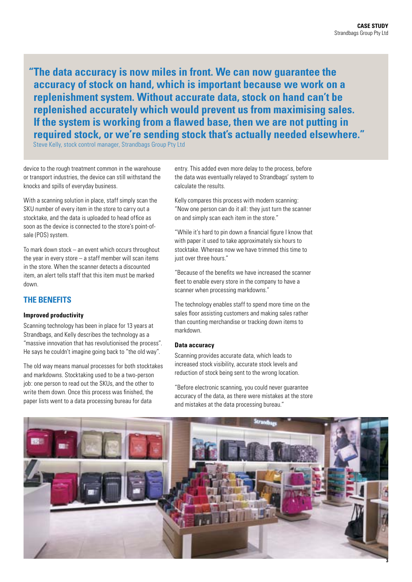**"The data accuracy is now miles in front. We can now guarantee the accuracy of stock on hand, which is important because we work on a replenishment system. Without accurate data, stock on hand can't be replenished accurately which would prevent us from maximising sales. If the system is working from a flawed base, then we are not putting in required stock, or we're sending stock that's actually needed elsewhere."**

Steve Kelly, stock control manager, Strandbags Group Pty Ltd

device to the rough treatment common in the warehouse or transport industries, the device can still withstand the knocks and spills of everyday business.

With a scanning solution in place, staff simply scan the SKU number of every item in the store to carry out a stocktake, and the data is uploaded to head office as soon as the device is connected to the store's point-ofsale (POS) system.

To mark down stock – an event which occurs throughout the year in every store – a staff member will scan items in the store. When the scanner detects a discounted item, an alert tells staff that this item must be marked down.

# **THE BENEFITS**

## **Improved productivity**

Scanning technology has been in place for 13 years at Strandbags, and Kelly describes the technology as a "massive innovation that has revolutionised the process". He says he couldn't imagine going back to "the old way".

The old way means manual processes for both stocktakes and markdowns. Stocktaking used to be a two-person job: one person to read out the SKUs, and the other to write them down. Once this process was finished, the paper lists went to a data processing bureau for data

entry. This added even more delay to the process, before the data was eventually relayed to Strandbags' system to calculate the results.

Kelly compares this process with modern scanning: "Now one person can do it all: they just turn the scanner on and simply scan each item in the store."

"While it's hard to pin down a financial figure I know that with paper it used to take approximately six hours to stocktake. Whereas now we have trimmed this time to just over three hours."

"Because of the benefits we have increased the scanner fleet to enable every store in the company to have a scanner when processing markdowns."

The technology enables staff to spend more time on the sales floor assisting customers and making sales rather than counting merchandise or tracking down items to markdown.

## **Data accuracy**

Scanning provides accurate data, which leads to increased stock visibility, accurate stock levels and reduction of stock being sent to the wrong location.

"Before electronic scanning, you could never guarantee accuracy of the data, as there were mistakes at the store and mistakes at the data processing bureau."